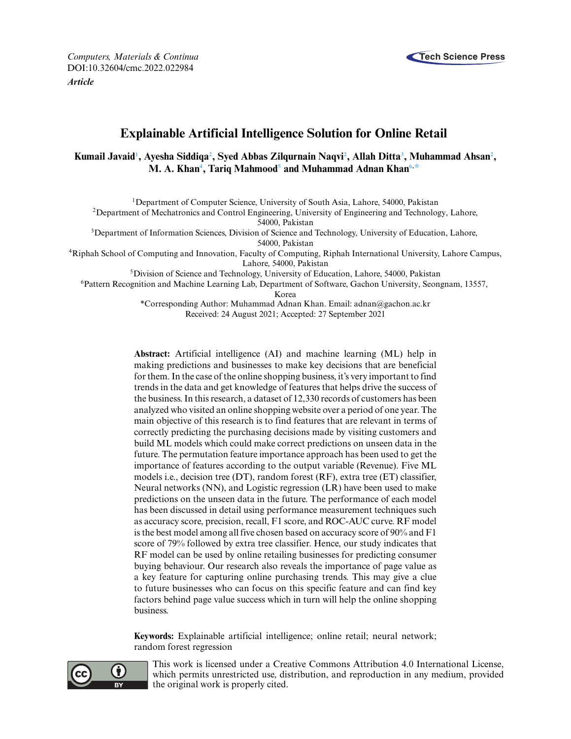

*Computers, Materials & Continua* **Tech Science Press** DOI[:10.32604/cmc.2022.022984](http://dx.doi.org/10.32604/cmc.2022.022984) *Article*

# **Explainable Artificial Intelligence Solution for Online Retail**

# **Kumail Javai[d1](#page-0-0) , Ayesha Siddiq[a2](#page-0-1) , Syed Abbas Zilqurnain Naqv[i2](#page-0-1) , Allah Ditt[a3](#page-0-1) , Muhammad Ahsa[n2](#page-0-1) ,**  $\mathbf{M}.$  A. Khan $^4,$  Tariq Mahmood $^5$  and Muhammad Adnan Khan $^{6, \ast}$

<span id="page-0-0"></span>1Department of Computer Science, University of South Asia, Lahore, 54000, Pakistan

<span id="page-0-1"></span>2Department of Mechatronics and Control Engineering, University of Engineering and Technology, Lahore,

54000, Pakistan

<span id="page-0-2"></span><sup>3</sup>Department of Information Sciences, Division of Science and Technology, University of Education, Lahore,

54000, Pakistan

<span id="page-0-3"></span>4Riphah School of Computing and Innovation, Faculty of Computing, Riphah International University, Lahore Campus, Lahore, 54000, Pakistan

5Division of Science and Technology, University of Education, Lahore, 54000, Pakistan

<span id="page-0-4"></span>6Pattern Recognition and Machine Learning Lab, Department of Software, Gachon University, Seongnam, 13557,

Korea

<span id="page-0-5"></span>\*Corresponding Author: Muhammad Adnan Khan. Email: [adnan@gachon.ac.kr](mailto:adnan@gachon.ac.kr) Received: 24 August 2021; Accepted: 27 September 2021

**Abstract:** Artificial intelligence (AI) and machine learning (ML) help in making predictions and businesses to make key decisions that are beneficial for them. In the case of the online shopping business, it's very important to find trends in the data and get knowledge of features that helps drive the success of the business. In this research, a dataset of 12,330 records of customers has been analyzed who visited an online shopping website over a period of one year. The main objective of this research is to find features that are relevant in terms of correctly predicting the purchasing decisions made by visiting customers and build ML models which could make correct predictions on unseen data in the future. The permutation feature importance approach has been used to get the importance of features according to the output variable (Revenue). Five ML models i.e., decision tree (DT), random forest (RF), extra tree (ET) classifier, Neural networks (NN), and Logistic regression (LR) have been used to make predictions on the unseen data in the future. The performance of each model has been discussed in detail using performance measurement techniques such as accuracy score, precision, recall, F1 score, and ROC-AUC curve. RF model is the best model among all five chosen based on accuracy score of 90% and F1 score of 79% followed by extra tree classifier. Hence, our study indicates that RF model can be used by online retailing businesses for predicting consumer buying behaviour. Our research also reveals the importance of page value as a key feature for capturing online purchasing trends. This may give a clue to future businesses who can focus on this specific feature and can find key factors behind page value success which in turn will help the online shopping business.

**Keywords:** Explainable artificial intelligence; online retail; neural network; random forest regression



This work is licensed under a Creative Commons Attribution 4.0 International License, which permits unrestricted use, distribution, and reproduction in any medium, provided the original work is properly cited.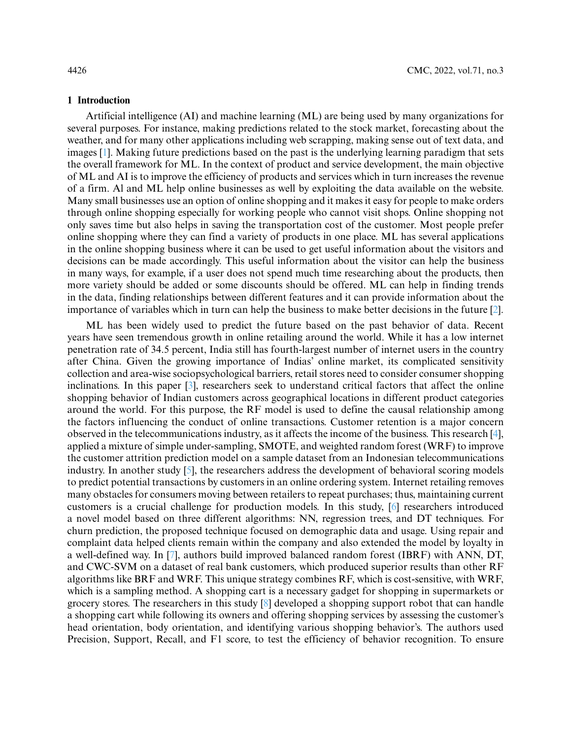#### **1 Introduction**

Artificial intelligence (AI) and machine learning (ML) are being used by many organizations for several purposes. For instance, making predictions related to the stock market, forecasting about the weather, and for many other applications including web scrapping, making sense out of text data, and images [\[1\]](#page-16-0). Making future predictions based on the past is the underlying learning paradigm that sets the overall framework for ML. In the context of product and service development, the main objective of ML and AI is to improve the efficiency of products and services which in turn increases the revenue of a firm. Al and ML help online businesses as well by exploiting the data available on the website. Many small businesses use an option of online shopping and it makes it easy for people to make orders through online shopping especially for working people who cannot visit shops. Online shopping not only saves time but also helps in saving the transportation cost of the customer. Most people prefer online shopping where they can find a variety of products in one place. ML has several applications in the online shopping business where it can be used to get useful information about the visitors and decisions can be made accordingly. This useful information about the visitor can help the business in many ways, for example, if a user does not spend much time researching about the products, then more variety should be added or some discounts should be offered. ML can help in finding trends in the data, finding relationships between different features and it can provide information about the importance of variables which in turn can help the business to make better decisions in the future [\[2\]](#page-16-1).

ML has been widely used to predict the future based on the past behavior of data. Recent years have seen tremendous growth in online retailing around the world. While it has a low internet penetration rate of 34.5 percent, India still has fourth-largest number of internet users in the country after China. Given the growing importance of Indias' online market, its complicated sensitivity collection and area-wise sociopsychological barriers, retail stores need to consider consumer shopping inclinations. In this paper [\[3\]](#page-16-2), researchers seek to understand critical factors that affect the online shopping behavior of Indian customers across geographical locations in different product categories around the world. For this purpose, the RF model is used to define the causal relationship among the factors influencing the conduct of online transactions. Customer retention is a major concern observed in the telecommunications industry, as it affects the income of the business. This research [\[4\]](#page-16-3), applied a mixture of simple under-sampling, SMOTE, and weighted random forest (WRF) to improve the customer attrition prediction model on a sample dataset from an Indonesian telecommunications industry. In another study [\[5\]](#page-16-4), the researchers address the development of behavioral scoring models to predict potential transactions by customers in an online ordering system. Internet retailing removes many obstacles for consumers moving between retailers to repeat purchases; thus, maintaining current customers is a crucial challenge for production models. In this study, [\[6\]](#page-16-5) researchers introduced a novel model based on three different algorithms: NN, regression trees, and DT techniques. For churn prediction, the proposed technique focused on demographic data and usage. Using repair and complaint data helped clients remain within the company and also extended the model by loyalty in a well-defined way. In [\[7\]](#page-16-6), authors build improved balanced random forest (IBRF) with ANN, DT, and CWC-SVM on a dataset of real bank customers, which produced superior results than other RF algorithms like BRF and WRF. This unique strategy combines RF, which is cost-sensitive, with WRF, which is a sampling method. A shopping cart is a necessary gadget for shopping in supermarkets or grocery stores. The researchers in this study [\[8\]](#page-16-7) developed a shopping support robot that can handle a shopping cart while following its owners and offering shopping services by assessing the customer's head orientation, body orientation, and identifying various shopping behavior's. The authors used Precision, Support, Recall, and F1 score, to test the efficiency of behavior recognition. To ensure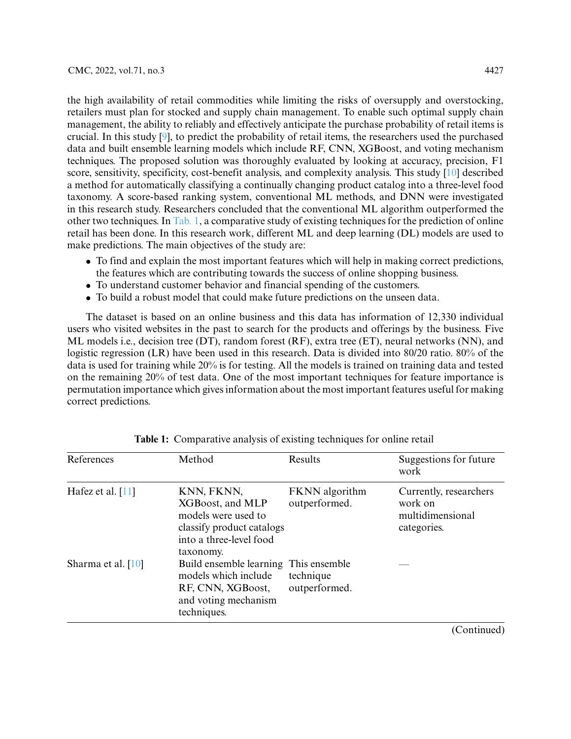the high availability of retail commodities while limiting the risks of oversupply and overstocking, retailers must plan for stocked and supply chain management. To enable such optimal supply chain management, the ability to reliably and effectively anticipate the purchase probability of retail items is crucial. In this study [\[9\]](#page-16-8), to predict the probability of retail items, the researchers used the purchased data and built ensemble learning models which include RF, CNN, XGBoost, and voting mechanism techniques. The proposed solution was thoroughly evaluated by looking at accuracy, precision, F1 score, sensitivity, specificity, cost-benefit analysis, and complexity analysis. This study [\[10\]](#page-16-9) described a method for automatically classifying a continually changing product catalog into a three-level food taxonomy. A score-based ranking system, conventional ML methods, and DNN were investigated in this research study. Researchers concluded that the conventional ML algorithm outperformed the other two techniques. In [Tab. 1,](#page-2-0) a comparative study of existing techniques for the prediction of online retail has been done. In this research work, different ML and deep learning (DL) models are used to make predictions. The main objectives of the study are:

- To find and explain the most important features which will help in making correct predictions, the features which are contributing towards the success of online shopping business.
- To understand customer behavior and financial spending of the customers.
- To build a robust model that could make future predictions on the unseen data.

The dataset is based on an online business and this data has information of 12,330 individual users who visited websites in the past to search for the products and offerings by the business. Five ML models i.e., decision tree (DT), random forest (RF), extra tree (ET), neural networks (NN), and logistic regression (LR) have been used in this research. Data is divided into 80/20 ratio. 80% of the data is used for training while 20% is for testing. All the models is trained on training data and tested on the remaining 20% of test data. One of the most important techniques for feature importance is permutation importance which gives information about the most important features useful for making correct predictions.

| References           | Method                                                                                                                     | Results                         | Suggestions for future<br>work                                       |
|----------------------|----------------------------------------------------------------------------------------------------------------------------|---------------------------------|----------------------------------------------------------------------|
| Hafez et al. $[11]$  | KNN, FKNN,<br>XGBoost, and MLP<br>models were used to<br>classify product catalogs<br>into a three-level food<br>taxonomy. | FKNN algorithm<br>outperformed. | Currently, researchers<br>work on<br>multidimensional<br>categories. |
| Sharma et al. $[10]$ | Build ensemble learning This ensemble<br>models which include<br>RF, CNN, XGBoost,<br>and voting mechanism<br>techniques.  | technique<br>outperformed.      |                                                                      |
|                      |                                                                                                                            |                                 | $\sim$<br>$\rightarrow$                                              |

<span id="page-2-0"></span>**Table 1:** Comparative analysis of existing techniques for online retail

(Continued)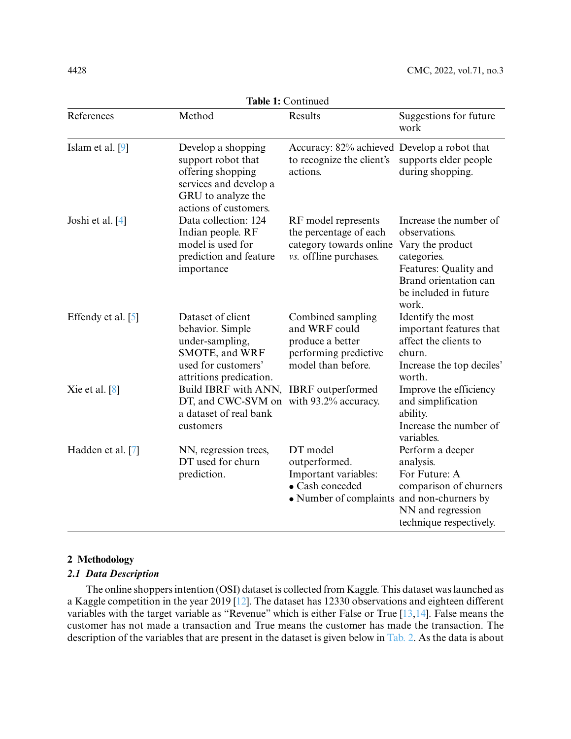| <b>LADIC 1.</b> COMMUNICU |                                                                                                                                        |                                                                                                                    |                                                                                                                                                                |  |  |  |  |  |  |
|---------------------------|----------------------------------------------------------------------------------------------------------------------------------------|--------------------------------------------------------------------------------------------------------------------|----------------------------------------------------------------------------------------------------------------------------------------------------------------|--|--|--|--|--|--|
| References                | Method                                                                                                                                 | Results                                                                                                            | Suggestions for future<br>work                                                                                                                                 |  |  |  |  |  |  |
| Islam et al. [9]          | Develop a shopping<br>support robot that<br>offering shopping<br>services and develop a<br>GRU to analyze the<br>actions of customers. | Accuracy: 82% achieved Develop a robot that<br>to recognize the client's<br>actions.                               | supports elder people<br>during shopping.                                                                                                                      |  |  |  |  |  |  |
| Joshi et al. [4]          | Data collection: 124<br>Indian people. RF<br>model is used for<br>prediction and feature<br>importance                                 | RF model represents<br>the percentage of each<br>category towards online<br>vs. offline purchases.                 | Increase the number of<br>observations.<br>Vary the product<br>categories.<br>Features: Quality and<br>Brand orientation can<br>be included in future<br>work. |  |  |  |  |  |  |
| Effendy et al. [5]        | Dataset of client<br>behavior. Simple<br>under-sampling,<br>SMOTE, and WRF<br>used for customers'<br>attritions predication.           | Combined sampling<br>and WRF could<br>produce a better<br>performing predictive<br>model than before.              | Identify the most<br>important features that<br>affect the clients to<br>churn.<br>Increase the top deciles'<br>worth.                                         |  |  |  |  |  |  |
| Xie et al. $[8]$          | Build IBRF with ANN,<br>DT, and CWC-SVM on<br>a dataset of real bank<br>customers                                                      | <b>IBRF</b> outperformed<br>with 93.2% accuracy.                                                                   | Improve the efficiency<br>and simplification<br>ability.<br>Increase the number of<br>variables.                                                               |  |  |  |  |  |  |
| Hadden et al. [7]         | NN, regression trees,<br>DT used for churn<br>prediction.                                                                              | DT model<br>outperformed.<br>Important variables:<br>• Cash conceded<br>• Number of complaints and non-churners by | Perform a deeper<br>analysis.<br>For Future: A<br>comparison of churners<br>NN and regression<br>technique respectively.                                       |  |  |  |  |  |  |

**Table 1:** Continued

# **2 Methodology**

# *2.1 Data Description*

The online shoppers intention (OSI) dataset is collected from Kaggle. This dataset was launched as a Kaggle competition in the year 2019 [\[12\]](#page-16-11). The dataset has 12330 observations and eighteen different variables with the target variable as "Revenue" which is either False or True [\[13](#page-16-12)[,14\]](#page-16-13). False means the customer has not made a transaction and True means the customer has made the transaction. The description of the variables that are present in the dataset is given below in [Tab. 2.](#page-4-0) As the data is about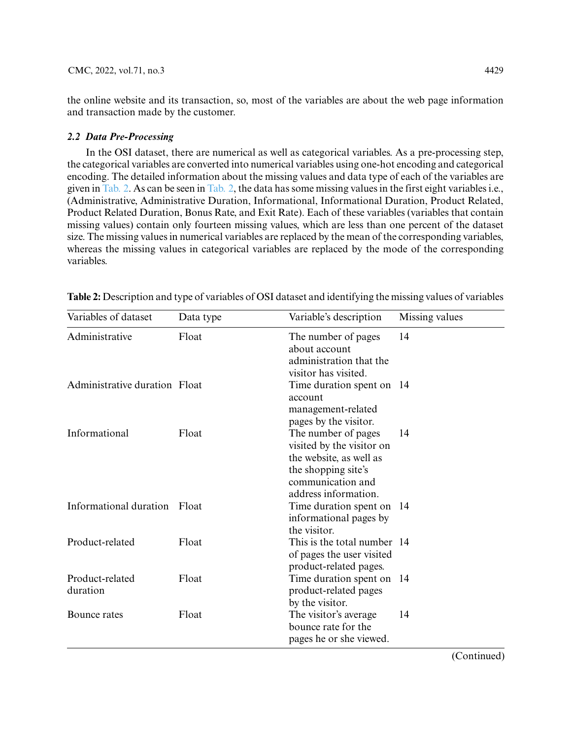the online website and its transaction, so, most of the variables are about the web page information and transaction made by the customer.

# *2.2 Data Pre-Processing*

In the OSI dataset, there are numerical as well as categorical variables. As a pre-processing step, the categorical variables are converted into numerical variables using one-hot encoding and categorical encoding. The detailed information about the missing values and data type of each of the variables are given in [Tab. 2.](#page-4-0) As can be seen in [Tab. 2,](#page-4-0) the data has some missing values in the first eight variables i.e., (Administrative, Administrative Duration, Informational, Informational Duration, Product Related, Product Related Duration, Bonus Rate, and Exit Rate). Each of these variables (variables that contain missing values) contain only fourteen missing values, which are less than one percent of the dataset size. The missing values in numerical variables are replaced by the mean of the corresponding variables, whereas the missing values in categorical variables are replaced by the mode of the corresponding variables.

| Variables of dataset          | Data type | Variable's description                                                                                                                          | Missing values |
|-------------------------------|-----------|-------------------------------------------------------------------------------------------------------------------------------------------------|----------------|
| Administrative                | Float     | The number of pages<br>about account<br>administration that the<br>visitor has visited.                                                         | 14             |
| Administrative duration Float |           | Time duration spent on 14<br>account<br>management-related<br>pages by the visitor.                                                             |                |
| Informational                 | Float     | The number of pages<br>visited by the visitor on<br>the website, as well as<br>the shopping site's<br>communication and<br>address information. | 14             |
| Informational duration        | Float     | Time duration spent on 14<br>informational pages by<br>the visitor.                                                                             |                |
| Product-related               | Float     | This is the total number 14<br>of pages the user visited<br>product-related pages.                                                              |                |
| Product-related<br>duration   | Float     | Time duration spent on 14<br>product-related pages<br>by the visitor.                                                                           |                |
| Bounce rates                  | Float     | The visitor's average<br>bounce rate for the<br>pages he or she viewed.                                                                         | 14             |

<span id="page-4-0"></span>**Table 2:** Description and type of variables of OSI dataset and identifying the missing values of variables

(Continued)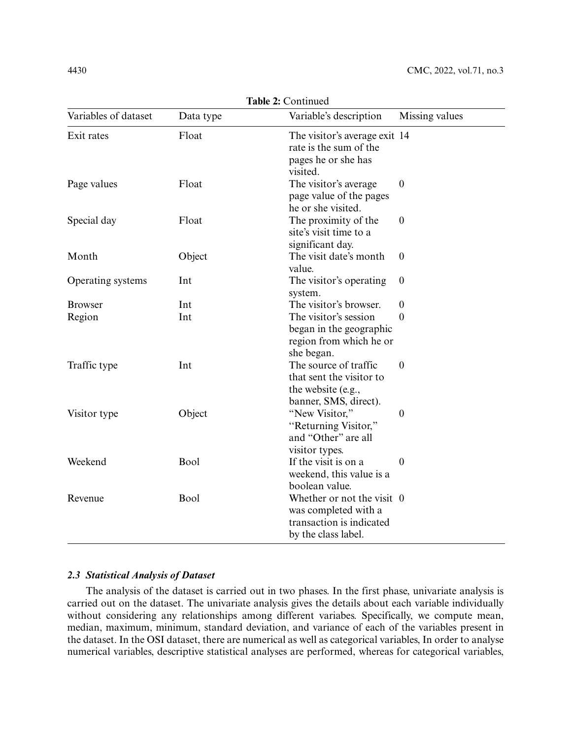| Variables of dataset | Data type | Variable's description                                                                                | Missing values   |
|----------------------|-----------|-------------------------------------------------------------------------------------------------------|------------------|
| Exit rates           | Float     | The visitor's average exit 14<br>rate is the sum of the<br>pages he or she has<br>visited.            |                  |
| Page values          | Float     | The visitor's average<br>page value of the pages<br>he or she visited.                                | $\boldsymbol{0}$ |
| Special day          | Float     | The proximity of the<br>site's visit time to a<br>significant day.                                    | $\boldsymbol{0}$ |
| Month                | Object    | The visit date's month<br>value.                                                                      | $\theta$         |
| Operating systems    | Int       | The visitor's operating<br>system.                                                                    | $\boldsymbol{0}$ |
| <b>Browser</b>       | Int       | The visitor's browser.                                                                                | $\theta$         |
| Region               | Int       | The visitor's session<br>began in the geographic<br>region from which he or<br>she began.             | $\theta$         |
| Traffic type         | Int       | The source of traffic<br>that sent the visitor to<br>the website (e.g.,<br>banner, SMS, direct).      | $\theta$         |
| Visitor type         | Object    | "New Visitor,"<br>"Returning Visitor,"<br>and "Other" are all<br>visitor types.                       | $\theta$         |
| Weekend              | Bool      | If the visit is on a<br>weekend, this value is a<br>boolean value.                                    | $\Omega$         |
| Revenue              | Bool      | Whether or not the visit 0<br>was completed with a<br>transaction is indicated<br>by the class label. |                  |

**Table 2:** Continued

# *2.3 Statistical Analysis of Dataset*

The analysis of the dataset is carried out in two phases. In the first phase, univariate analysis is carried out on the dataset. The univariate analysis gives the details about each variable individually without considering any relationships among different variabes. Specifically, we compute mean, median, maximum, minimum, standard deviation, and variance of each of the variables present in the dataset. In the OSI dataset, there are numerical as well as categorical variables, In order to analyse numerical variables, descriptive statistical analyses are performed, whereas for categorical variables,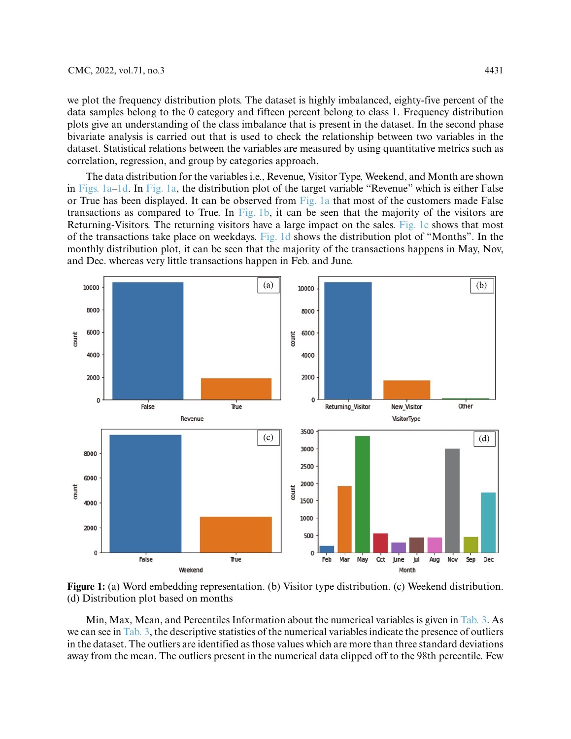we plot the frequency distribution plots. The dataset is highly imbalanced, eighty-five percent of the data samples belong to the 0 category and fifteen percent belong to class 1. Frequency distribution plots give an understanding of the class imbalance that is present in the dataset. In the second phase bivariate analysis is carried out that is used to check the relationship between two variables in the dataset. Statistical relations between the variables are measured by using quantitative metrics such as correlation, regression, and group by categories approach.

The data distribution for the variables i.e., Revenue, Visitor Type, Weekend, and Month are shown in Figs.  $1a-1d$ . In [Fig. 1a,](#page-6-0) the distribution plot of the target variable "Revenue" which is either False or True has been displayed. It can be observed from [Fig. 1a](#page-6-0) that most of the customers made False transactions as compared to True. In [Fig. 1b,](#page-6-0) it can be seen that the majority of the visitors are Returning-Visitors. The returning visitors have a large impact on the sales. [Fig. 1c](#page-6-0) shows that most of the transactions take place on weekdays. [Fig. 1d](#page-6-0) shows the distribution plot of "Months". In the monthly distribution plot, it can be seen that the majority of the transactions happens in May, Nov, and Dec. whereas very little transactions happen in Feb. and June.



<span id="page-6-0"></span>**Figure 1:** (a) Word embedding representation. (b) Visitor type distribution. (c) Weekend distribution. (d) Distribution plot based on months

Min, Max, Mean, and Percentiles Information about the numerical variables is given in [Tab. 3.](#page-7-0) As we can see in [Tab. 3,](#page-7-0) the descriptive statistics of the numerical variables indicate the presence of outliers in the dataset. The outliers are identified as those values which are more than three standard deviations away from the mean. The outliers present in the numerical data clipped off to the 98th percentile. Few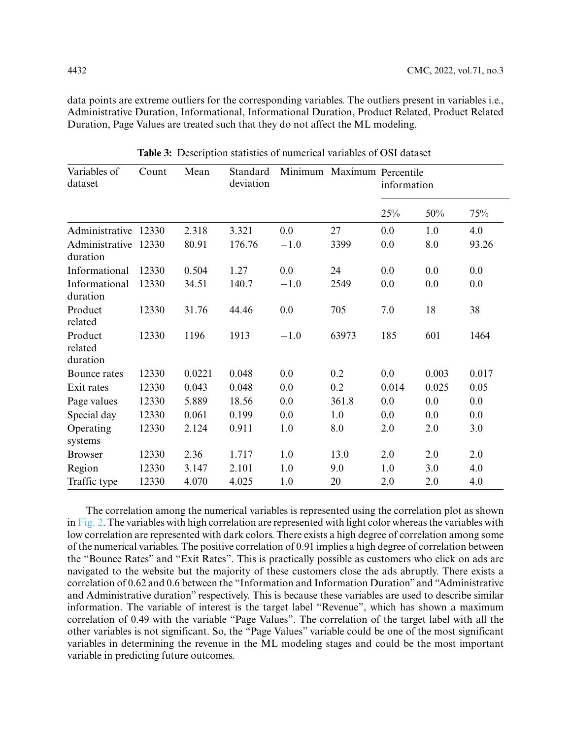data points are extreme outliers for the corresponding variables. The outliers present in variables i.e., Administrative Duration, Informational, Informational Duration, Product Related, Product Related Duration, Page Values are treated such that they do not affect the ML modeling.

<span id="page-7-0"></span>

| Variables of<br>Count<br>dataset |       | Mean   | Standard<br>deviation |        | Minimum Maximum Percentile | information |       |       |  |
|----------------------------------|-------|--------|-----------------------|--------|----------------------------|-------------|-------|-------|--|
|                                  |       |        |                       |        |                            | 25%         | 50%   | 75%   |  |
| Administrative 12330             |       | 2.318  | 3.321                 | 0.0    | 27                         | 0.0         | 1.0   | 4.0   |  |
| Administrative<br>duration       | 12330 | 80.91  | 176.76                | $-1.0$ | 3399                       | 0.0         | 8.0   | 93.26 |  |
| Informational                    | 12330 | 0.504  | 1.27                  | 0.0    | 24                         | 0.0         | 0.0   | 0.0   |  |
| Informational<br>duration        | 12330 | 34.51  | 140.7                 | $-1.0$ | 2549                       | 0.0         | 0.0   | 0.0   |  |
| Product<br>related               | 12330 | 31.76  | 44.46                 | 0.0    | 705                        | 7.0         | 18    | 38    |  |
| Product<br>related<br>duration   | 12330 | 1196   | 1913                  | $-1.0$ | 63973                      | 185         | 601   | 1464  |  |
| Bounce rates                     | 12330 | 0.0221 | 0.048                 | 0.0    | 0.2                        | 0.0         | 0.003 | 0.017 |  |
| Exit rates                       | 12330 | 0.043  | 0.048                 | 0.0    | 0.2                        | 0.014       | 0.025 | 0.05  |  |
| Page values                      | 12330 | 5.889  | 18.56                 | 0.0    | 361.8                      | 0.0         | 0.0   | 0.0   |  |
| Special day                      | 12330 | 0.061  | 0.199                 | 0.0    | 1.0                        | 0.0         | 0.0   | 0.0   |  |
| Operating                        | 12330 | 2.124  | 0.911                 | 1.0    | 8.0                        | 2.0         | 2.0   | 3.0   |  |
| systems                          |       |        |                       |        |                            |             |       |       |  |
| <b>Browser</b>                   | 12330 | 2.36   | 1.717                 | 1.0    | 13.0                       | 2.0         | 2.0   | 2.0   |  |
| Region                           | 12330 | 3.147  | 2.101                 | 1.0    | 9.0                        | 1.0         | 3.0   | 4.0   |  |
| Traffic type                     | 12330 | 4.070  | 4.025                 | 1.0    | 20                         | 2.0         | 2.0   | 4.0   |  |

**Table 3:** Description statistics of numerical variables of OSI dataset

The correlation among the numerical variables is represented using the correlation plot as shown in [Fig. 2.](#page-8-0) The variables with high correlation are represented with light color whereas the variables with low correlation are represented with dark colors. There exists a high degree of correlation among some of the numerical variables. The positive correlation of 0.91 implies a high degree of correlation between the "Bounce Rates" and "Exit Rates". This is practically possible as customers who click on ads are navigated to the website but the majority of these customers close the ads abruptly. There exists a correlation of 0.62 and 0.6 between the "Information and Information Duration" and "Administrative and Administrative duration" respectively. This is because these variables are used to describe similar information. The variable of interest is the target label "Revenue", which has shown a maximum correlation of 0.49 with the variable "Page Values". The correlation of the target label with all the other variables is not significant. So, the "Page Values" variable could be one of the most significant variables in determining the revenue in the ML modeling stages and could be the most important variable in predicting future outcomes.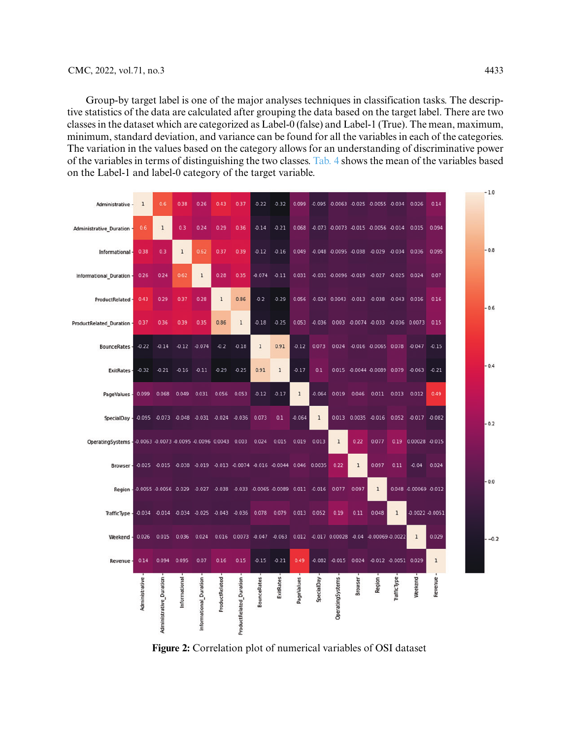Group-by target label is one of the major analyses techniques in classification tasks. The descriptive statistics of the data are calculated after grouping the data based on the target label. There are two classes in the dataset which are categorized as Label-0 (false) and Label-1 (True). The mean, maximum, minimum, standard deviation, and variance can be found for all the variables in each of the categories. The variation in the values based on the category allows for an understanding of discriminative power of the variables in terms of distinguishing the two classes. [Tab. 4](#page-9-0) shows the mean of the variables based on the Label-1 and label-0 category of the target variable.

| Administrative                                                                  | 1              | 0.6                                       | 0.38          | 0.26                   | 0.43           | 0.37                       | $-0.22$            | $-0.32$                                                                | 0.099        | $-0.095$    | $-0.0063 - 0.025$                    |              | -0.0055 -0.034        |                    | 0.026                 | 0.14         |  | $-1.0$ |
|---------------------------------------------------------------------------------|----------------|-------------------------------------------|---------------|------------------------|----------------|----------------------------|--------------------|------------------------------------------------------------------------|--------------|-------------|--------------------------------------|--------------|-----------------------|--------------------|-----------------------|--------------|--|--------|
| Administrative_Duration                                                         | 0.6            | $1\,$                                     | 0.3           | 0.24                   | 0.29           | 0.36                       | $-0.14$            | $-0.21$                                                                | 0.068        |             | -0.073 -0.0073 -0.015 -0.0056 -0.014 |              |                       |                    | 0.015                 | 0.094        |  |        |
| Informational -                                                                 | 0.38           | 0.3                                       | $\mathbf{1}$  | 0.62                   | 0.37           | 0.39                       | $-0.12$            | $-0.16$                                                                | 0.049        |             | -0.048 -0.0095 -0.038                |              | $-0.029$              | $-0.034$           | 0.036                 | 0.095        |  | $-0.8$ |
| Informational Duration -                                                        | 0.26           | 0.24                                      | 062           | $\mathbf{1}$           | 0.28           | 0.35                       | $-0.074$           | $-0.11$                                                                | 0.031        |             | -0.031 -0.0096 -0.019 -0.027         |              |                       | $-0.025$           | 0.024                 | 0.07         |  |        |
| ProductRelated                                                                  | 0.43           | 0.29                                      | 0.37          | 0.28                   | $\mathbf{1}$   | 0.86                       | 0.2                | $-0.29$                                                                | 0.056        |             | -0.024 0.0043 -0.013 -0.038          |              |                       | $-0.043$           | 0.016                 | 0.16         |  | $-0.6$ |
| ProductRelated_Duration                                                         | 0.37           | 0.36                                      | 0.39          | 0.35                   | 0.86           | 1                          | $-0.18$            | 0.25                                                                   | 0.053        | $-0.036$    | 0.003 -0.0074 -0.033                 |              |                       |                    | -0.036 0.0073         | 0.15         |  |        |
| <b>BounceRates</b>                                                              | $-0.22$        | $-0.14$                                   | $-0.12$       | $-0.074$               | $-0.2$         | 0.18                       | $\mathbf{1}$       | 0.91                                                                   | 0.12         | 0.073       | 0.024                                |              | -0.016 -0.0065 0.078  |                    | $-0.047$              | $-0.15$      |  |        |
| <b>ExitRates</b>                                                                | $-0.32$        | $-0.21$                                   | $-0.16$       | $-0.11$                | $-0.29$        | $-0.25$                    | 0.91               | $1\,$                                                                  | 0.17         | 0.1         | 0.015                                |              | -0.0044 -0.0089 0.079 |                    | $-0.063$              | $-0.21$      |  | $-0.4$ |
| PageValues                                                                      | 0.099          | 0.068                                     | 0.049         | 0.031                  | 0.056          | 0.053                      | $-0.12$            | 0.17                                                                   | $\mathbf{1}$ | 0.064       | 0.019                                | 0.046        | 0.011                 | 0.013              | 0.012                 | 0.49         |  |        |
| SpecialDay                                                                      |                | -0.095 -0.073 -0.048                      |               | -0.031 -0.024 -0.036   |                |                            | 0.073              | 0.1                                                                    | $-0.064$     | $\mathbf 1$ | 0.013                                |              | 0.0035 -0.016         | 0.052              | $-0.017$              | $-0.082$     |  | $-0.2$ |
| OperatingSystems - 0.0063 -0.0073 -0.0095 -0.0096 0.0043 0.003                  |                |                                           |               |                        |                |                            | 0.024              | 0.015                                                                  | 0.019        | 0.013       | $\mathbf{1}$                         | 0.22         | 0.077                 | 0.19               | 0.00028 -0.015        |              |  |        |
| Browser -                                                                       |                |                                           |               |                        |                |                            |                    | -0.025 -0.015 -0.038 -0.019 -0.013 -0.0074 -0.016 -0.0044 0.046 0.0035 |              |             | 0.22                                 | $\mathbf{1}$ | 0.097                 | 0.11               | $-0.04$               | 0.024        |  |        |
| Region -0.0055 -0.0056 -0.029 -0.027 -0.038 -0.033 -0.0065 -0.0089 0.011 -0.016 |                |                                           |               |                        |                |                            |                    |                                                                        |              |             | 0.077                                | 0.097        | $\mathbf{1}$          |                    | 0.048 -0.00069 -0.012 |              |  | $-0.0$ |
| TrafficType -                                                                   |                | -0.034 -0.014 -0.034 -0.025 -0.043 -0.036 |               |                        |                |                            | 0.078              | 0.079                                                                  | 0.013        | 0.052       | 0.19                                 | 0.11         | 0.048                 | $\mathbf{1}$       | 0.0022 -0.0051        |              |  |        |
| Weekend                                                                         | 0.026          | 0.015                                     | 0.036         | 0.024                  |                | 0.016 0.0073 -0.047 -0.063 |                    |                                                                        |              |             | 0.012 -0.017 0.00028                 |              | -0.04 -0.00069-0.0022 |                    | $\mathbf{1}$          | 0.029        |  | $-0.2$ |
| Revenue                                                                         | 0.14           | 0.094                                     | 0.095         | 0.07                   | 0.16           | 0.15                       | $-0.15$            | $-0.21$                                                                | 0.49         |             | $-0.082 - 0.015$                     | 0.024        | -0.012 -0.0051 0.029  |                    |                       | $\mathbf{1}$ |  |        |
|                                                                                 | Administrative | Administrative_Duration                   | Informational | Informational_Duration | ProductRelated | ProductRelated_Duration    | <b>BounceRates</b> | <b>ExitRates</b>                                                       | PageValues   | SpecialDay  | OperatingSystems                     | Browser      | Region                | <b>TrafficType</b> | Weekend               | Revenue      |  |        |

<span id="page-8-0"></span>**Figure 2:** Correlation plot of numerical variables of OSI dataset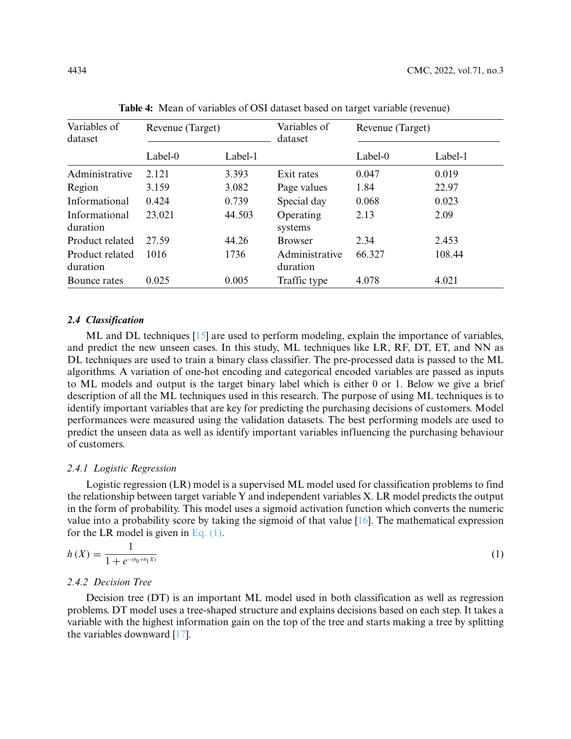<span id="page-9-0"></span>

| Variables of<br>dataset     | Revenue (Target) |         | Variables of<br>dataset    | Revenue (Target) |         |  |
|-----------------------------|------------------|---------|----------------------------|------------------|---------|--|
|                             | Label-0          | Label-1 |                            | Label-0          | Label-1 |  |
| Administrative              | 2.121            | 3.393   | Exit rates                 | 0.047            | 0.019   |  |
| Region                      | 3.159            | 3.082   | Page values                | 1.84             | 22.97   |  |
| Informational               | 0.424            | 0.739   | Special day                | 0.068            | 0.023   |  |
| Informational<br>duration   | 23.021           | 44.503  | Operating<br>systems       | 2.13             | 2.09    |  |
| Product related             | 27.59            | 44.26   | <b>Browser</b>             | 2.34             | 2.453   |  |
| Product related<br>duration | 1016             | 1736    | Administrative<br>duration | 66.327           | 108.44  |  |
| Bounce rates                | 0.025            | 0.005   | Traffic type               | 4.078            | 4.021   |  |

**Table 4:** Mean of variables of OSI dataset based on target variable (revenue)

## *2.4 Classification*

ML and DL techniques [\[15\]](#page-16-14) are used to perform modeling, explain the importance of variables, and predict the new unseen cases. In this study, ML techniques like LR, RF, DT, ET, and NN as DL techniques are used to train a binary class classifier. The pre-processed data is passed to the ML algorithms. A variation of one-hot encoding and categorical encoded variables are passed as inputs to ML models and output is the target binary label which is either 0 or 1. Below we give a brief description of all the ML techniques used in this research. The purpose of using ML techniques is to identify important variables that are key for predicting the purchasing decisions of customers. Model performances were measured using the validation datasets. The best performing models are used to predict the unseen data as well as identify important variables influencing the purchasing behaviour of customers.

#### *2.4.1 Logistic Regression*

Logistic regression (LR) model is a supervised ML model used for classification problems to find the relationship between target variable Y and independent variables X. LR model predicts the output in the form of probability. This model uses a sigmoid activation function which converts the numeric value into a probability score by taking the sigmoid of that value  $[16]$ . The mathematical expression for the LR model is given in [Eq. \(1\).](#page-9-1)

<span id="page-9-1"></span>
$$
h(X) = \frac{1}{1 + e^{-(\theta_0 + \theta_1 X)}}\tag{1}
$$

# *2.4.2 Decision Tree*

Decision tree (DT) is an important ML model used in both classification as well as regression problems. DT model uses a tree-shaped structure and explains decisions based on each step. It takes a variable with the highest information gain on the top of the tree and starts making a tree by splitting the variables downward [\[17\]](#page-16-16).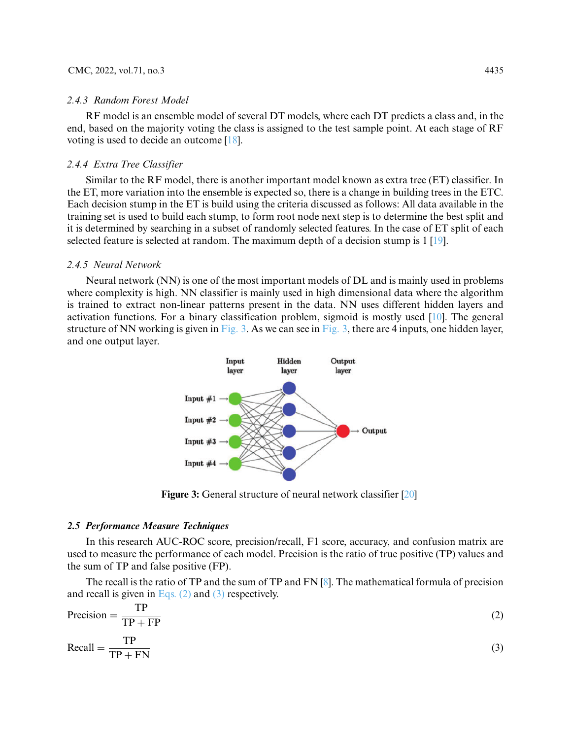#### *2.4.3 Random Forest Model*

RF model is an ensemble model of several DT models, where each DT predicts a class and, in the end, based on the majority voting the class is assigned to the test sample point. At each stage of RF voting is used to decide an outcome [\[18\]](#page-16-17).

#### *2.4.4 Extra Tree Classifier*

Similar to the RF model, there is another important model known as extra tree (ET) classifier. In the ET, more variation into the ensemble is expected so, there is a change in building trees in the ETC. Each decision stump in the ET is build using the criteria discussed as follows: All data available in the training set is used to build each stump, to form root node next step is to determine the best split and it is determined by searching in a subset of randomly selected features. In the case of ET split of each selected feature is selected at random. The maximum depth of a decision stump is 1 [\[19\]](#page-16-18).

## *2.4.5 Neural Network*

Neural network (NN) is one of the most important models of DL and is mainly used in problems where complexity is high. NN classifier is mainly used in high dimensional data where the algorithm is trained to extract non-linear patterns present in the data. NN uses different hidden layers and activation functions. For a binary classification problem, sigmoid is mostly used [\[10\]](#page-16-9). The general structure of NN working is given in [Fig. 3.](#page-10-0) As we can see in [Fig. 3,](#page-10-0) there are 4 inputs, one hidden layer, and one output layer.



**Figure 3:** General structure of neural network classifier [\[20\]](#page-16-19)

## <span id="page-10-0"></span>*2.5 Performance Measure Techniques*

In this research AUC-ROC score, precision/recall, F1 score, accuracy, and confusion matrix are used to measure the performance of each model. Precision is the ratio of true positive (TP) values and the sum of TP and false positive (FP).

The recall is the ratio of TP and the sum of TP and FN [\[8\]](#page-16-7). The mathematical formula of precision and recall is given in [Eqs. \(2\)](#page-10-1) and [\(3\)](#page-10-2) respectively.

<span id="page-10-1"></span>
$$
Precision = \frac{TP}{TP + FP}
$$
 (2)

<span id="page-10-2"></span>
$$
\text{Recall} = \frac{\text{TP}}{\text{TP} + \text{FN}}\tag{3}
$$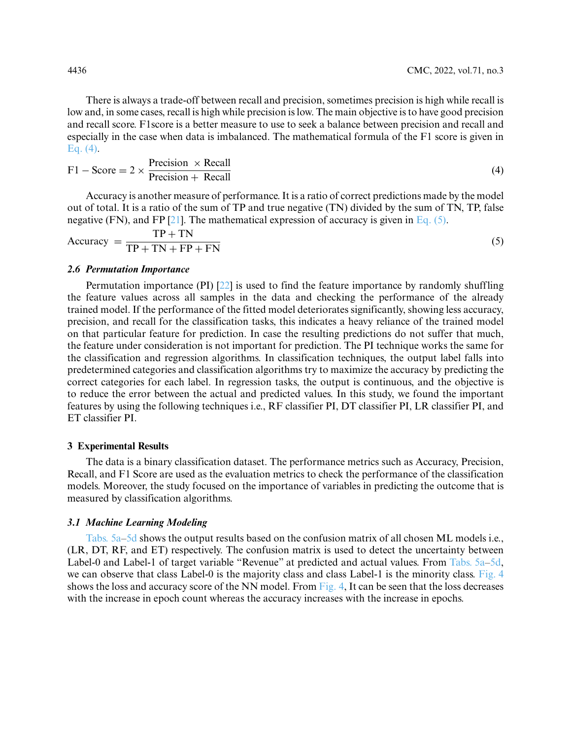There is always a trade-off between recall and precision, sometimes precision is high while recall is low and, in some cases, recall is high while precision is low. The main objective is to have good precision and recall score. F1score is a better measure to use to seek a balance between precision and recall and especially in the case when data is imbalanced. The mathematical formula of the F1 score is given in [Eq. \(4\).](#page-11-0)

<span id="page-11-0"></span>
$$
F1 - Score = 2 \times \frac{Precision \times Recall}{Precision + Recall}
$$
 (4)

Accuracy is another measure of performance. It is a ratio of correct predictions made by the model out of total. It is a ratio of the sum of TP and true negative (TN) divided by the sum of TN, TP, false negative (FN), and FP [\[21\]](#page-17-0). The mathematical expression of accuracy is given in [Eq. \(5\).](#page-11-1)

<span id="page-11-1"></span>
$$
Accuracy = \frac{TP + TN}{TP + TN + FP + FN}
$$
 (5)

#### *2.6 Permutation Importance*

Permutation importance (PI) [\[22\]](#page-17-1) is used to find the feature importance by randomly shuffling the feature values across all samples in the data and checking the performance of the already trained model. If the performance of the fitted model deteriorates significantly, showing less accuracy, precision, and recall for the classification tasks, this indicates a heavy reliance of the trained model on that particular feature for prediction. In case the resulting predictions do not suffer that much, the feature under consideration is not important for prediction. The PI technique works the same for the classification and regression algorithms. In classification techniques, the output label falls into predetermined categories and classification algorithms try to maximize the accuracy by predicting the correct categories for each label. In regression tasks, the output is continuous, and the objective is to reduce the error between the actual and predicted values. In this study, we found the important features by using the following techniques i.e., RF classifier PI, DT classifier PI, LR classifier PI, and ET classifier PI.

#### **3 Experimental Results**

The data is a binary classification dataset. The performance metrics such as Accuracy, Precision, Recall, and F1 Score are used as the evaluation metrics to check the performance of the classification models. Moreover, the study focused on the importance of variables in predicting the outcome that is measured by classification algorithms.

#### *3.1 Machine Learning Modeling*

[Tabs. 5a–5d](#page-12-0) shows the output results based on the confusion matrix of all chosen ML models i.e., (LR, DT, RF, and ET) respectively. The confusion matrix is used to detect the uncertainty between Label-0 and Label-1 of target variable "Revenue" at predicted and actual values. From [Tabs. 5a–5d,](#page-12-0) we can observe that class Label-0 is the majority class and class Label-1 is the minority class. [Fig. 4](#page-12-1) shows the loss and accuracy score of the NN model. From [Fig. 4,](#page-12-1) It can be seen that the loss decreases with the increase in epoch count whereas the accuracy increases with the increase in epochs.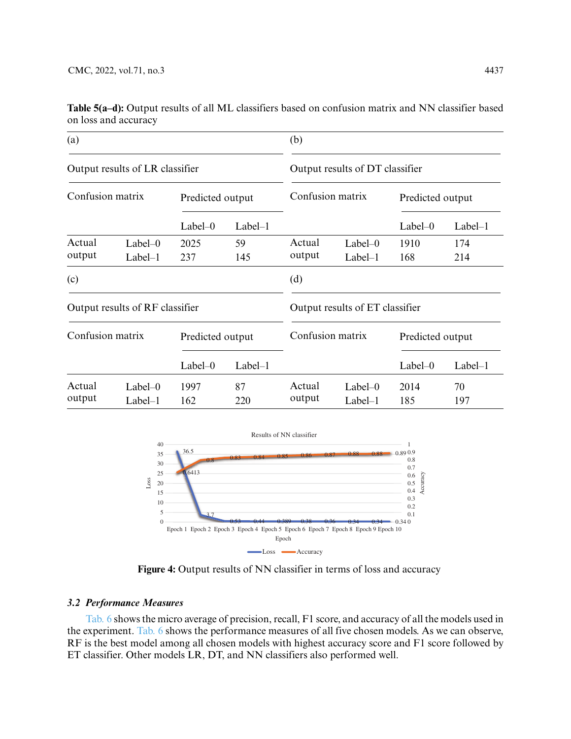| (a)              |                                 |                  |           | (b)                             |                                 |                  |                  |  |  |
|------------------|---------------------------------|------------------|-----------|---------------------------------|---------------------------------|------------------|------------------|--|--|
|                  | Output results of LR classifier |                  |           | Output results of DT classifier |                                 |                  |                  |  |  |
| Confusion matrix |                                 | Predicted output |           |                                 | Confusion matrix                |                  | Predicted output |  |  |
|                  |                                 | $Label-0$        | $Label-1$ |                                 |                                 | $Label-0$        | $Label-1$        |  |  |
| Actual           | $Label-0$                       | 2025             | 59        | Actual                          | $Label-0$                       | 1910             | 174              |  |  |
| output           | $Label-1$                       | 237              | 145       | output                          | $Label-1$                       | 168              | 214              |  |  |
| (c)              |                                 |                  |           | (d)                             |                                 |                  |                  |  |  |
|                  | Output results of RF classifier |                  |           |                                 | Output results of ET classifier |                  |                  |  |  |
| Confusion matrix |                                 | Predicted output |           | Confusion matrix                |                                 | Predicted output |                  |  |  |
|                  |                                 | $Label-0$        | $Label-1$ |                                 |                                 | $Label-0$        | $Label-1$        |  |  |
| Actual           | $Label-0$                       | 1997             | 87        | Actual                          | $Label-0$                       | 2014             | 70               |  |  |
| output           | $Label-1$                       | 162              | 220       | output                          | $Label-1$                       | 185              | 197              |  |  |

<span id="page-12-0"></span>**Table 5(a–d):** Output results of all ML classifiers based on confusion matrix and NN classifier based on loss and accuracy



**Figure 4:** Output results of NN classifier in terms of loss and accuracy

#### <span id="page-12-1"></span>*3.2 Performance Measures*

[Tab. 6](#page-13-0) shows the micro average of precision, recall, F1 score, and accuracy of all the models used in the experiment. [Tab. 6](#page-13-0) shows the performance measures of all five chosen models. As we can observe, RF is the best model among all chosen models with highest accuracy score and F1 score followed by ET classifier. Other models LR, DT, and NN classifiers also performed well.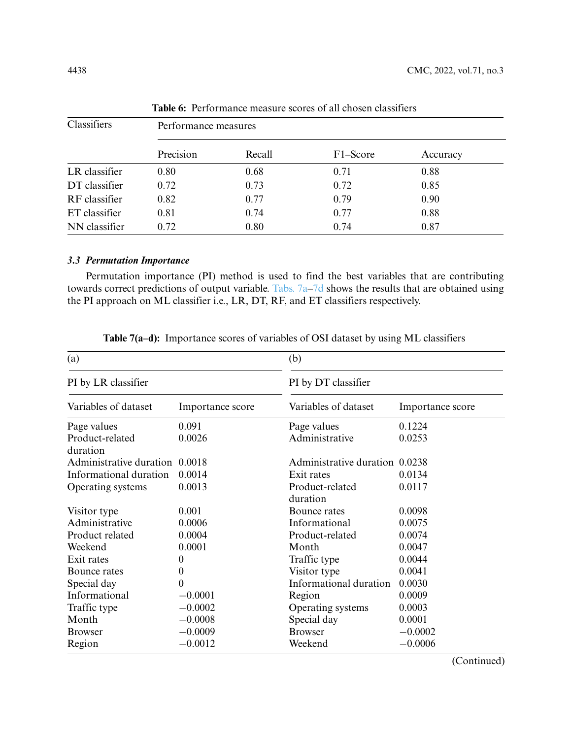<span id="page-13-0"></span>

| Classifiers   | Performance measures |        |          |          |  |  |  |  |  |
|---------------|----------------------|--------|----------|----------|--|--|--|--|--|
|               | Precision            | Recall | F1-Score | Accuracy |  |  |  |  |  |
| LR classifier | 0.80                 | 0.68   | 0.71     | 0.88     |  |  |  |  |  |
| DT classifier | 0.72                 | 0.73   | 0.72     | 0.85     |  |  |  |  |  |
| RF classifier | 0.82                 | 0.77   | 0.79     | 0.90     |  |  |  |  |  |
| ET classifier | 0.81                 | 0.74   | 0.77     | 0.88     |  |  |  |  |  |
| NN classifier | 0.72                 | 0.80   | 0.74     | 0.87     |  |  |  |  |  |

**Table 6:** Performance measure scores of all chosen classifiers

# *3.3 Permutation Importance*

Permutation importance (PI) method is used to find the best variables that are contributing towards correct predictions of output variable. [Tabs. 7a–7d](#page-13-1) shows the results that are obtained using the PI approach on ML classifier i.e., LR, DT, RF, and ET classifiers respectively.

| (a)                            |                  | (b)                            |                  |  |  |  |
|--------------------------------|------------------|--------------------------------|------------------|--|--|--|
| PI by LR classifier            |                  | PI by DT classifier            |                  |  |  |  |
| Variables of dataset           | Importance score | Variables of dataset           | Importance score |  |  |  |
| Page values                    | 0.091            | Page values                    | 0.1224           |  |  |  |
| Product-related<br>duration    | 0.0026           | Administrative                 | 0.0253           |  |  |  |
| Administrative duration 0.0018 |                  | Administrative duration 0.0238 |                  |  |  |  |
| Informational duration         | 0.0014           | Exit rates                     | 0.0134           |  |  |  |
| Operating systems              | 0.0013           | Product-related<br>duration    | 0.0117           |  |  |  |
| Visitor type                   | 0.001            | Bounce rates                   | 0.0098           |  |  |  |
| Administrative                 | 0.0006           | Informational                  | 0.0075           |  |  |  |
| Product related                | 0.0004           | Product-related                | 0.0074           |  |  |  |
| Weekend                        | 0.0001           | Month                          | 0.0047           |  |  |  |
| Exit rates                     | $\boldsymbol{0}$ | Traffic type                   | 0.0044           |  |  |  |
| Bounce rates                   | $\boldsymbol{0}$ | Visitor type                   | 0.0041           |  |  |  |
| Special day                    | $\overline{0}$   | Informational duration         | 0.0030           |  |  |  |
| Informational                  | $-0.0001$        | Region                         | 0.0009           |  |  |  |
| Traffic type                   | $-0.0002$        | Operating systems              | 0.0003           |  |  |  |
| Month                          | $-0.0008$        | Special day                    | 0.0001           |  |  |  |
| <b>Browser</b>                 | $-0.0009$        | <b>Browser</b>                 | $-0.0002$        |  |  |  |
| Region                         | $-0.0012$        | Weekend                        | $-0.0006$        |  |  |  |

<span id="page-13-1"></span>**Table 7(a–d):** Importance scores of variables of OSI dataset by using ML classifiers

(Continued)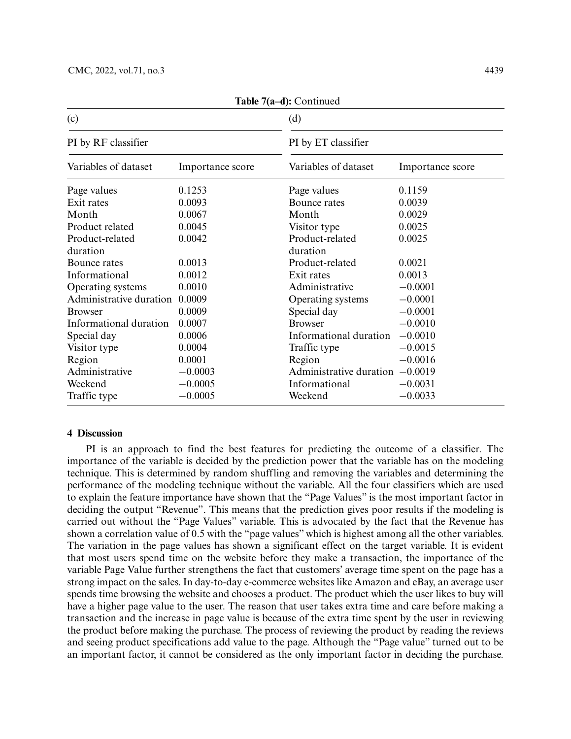| (c)                     |                  | (d)                     |                  |  |  |  |
|-------------------------|------------------|-------------------------|------------------|--|--|--|
| PI by RF classifier     |                  | PI by ET classifier     |                  |  |  |  |
| Variables of dataset    | Importance score | Variables of dataset    | Importance score |  |  |  |
| Page values             | 0.1253           | Page values             | 0.1159           |  |  |  |
| Exit rates              | 0.0093           | Bounce rates            | 0.0039           |  |  |  |
| Month                   | 0.0067           | Month                   | 0.0029           |  |  |  |
| Product related         | 0.0045           | Visitor type            | 0.0025           |  |  |  |
| Product-related         | 0.0042           | Product-related         | 0.0025           |  |  |  |
| duration                |                  | duration                |                  |  |  |  |
| Bounce rates            | 0.0013           | Product-related         | 0.0021           |  |  |  |
| Informational           | 0.0012           | Exit rates              | 0.0013           |  |  |  |
| Operating systems       | 0.0010           | Administrative          | $-0.0001$        |  |  |  |
| Administrative duration | 0.0009           | Operating systems       | $-0.0001$        |  |  |  |
| <b>Browser</b>          | 0.0009           | Special day             | $-0.0001$        |  |  |  |
| Informational duration  | 0.0007           | <b>Browser</b>          | $-0.0010$        |  |  |  |
| Special day             | 0.0006           | Informational duration  | $-0.0010$        |  |  |  |
| Visitor type            | 0.0004           | Traffic type            | $-0.0015$        |  |  |  |
| Region                  | 0.0001           | Region                  | $-0.0016$        |  |  |  |
| Administrative          | $-0.0003$        | Administrative duration | $-0.0019$        |  |  |  |
| Weekend                 | $-0.0005$        | Informational           | $-0.0031$        |  |  |  |
| Traffic type            | $-0.0005$        | Weekend                 | $-0.0033$        |  |  |  |

**Table 7(a–d):** Continued

#### **4 Discussion**

PI is an approach to find the best features for predicting the outcome of a classifier. The importance of the variable is decided by the prediction power that the variable has on the modeling technique. This is determined by random shuffling and removing the variables and determining the performance of the modeling technique without the variable. All the four classifiers which are used to explain the feature importance have shown that the "Page Values" is the most important factor in deciding the output "Revenue". This means that the prediction gives poor results if the modeling is carried out without the "Page Values" variable. This is advocated by the fact that the Revenue has shown a correlation value of 0.5 with the "page values" which is highest among all the other variables. The variation in the page values has shown a significant effect on the target variable. It is evident that most users spend time on the website before they make a transaction, the importance of the variable Page Value further strengthens the fact that customers' average time spent on the page has a strong impact on the sales. In day-to-day e-commerce websites like Amazon and eBay, an average user spends time browsing the website and chooses a product. The product which the user likes to buy will have a higher page value to the user. The reason that user takes extra time and care before making a transaction and the increase in page value is because of the extra time spent by the user in reviewing the product before making the purchase. The process of reviewing the product by reading the reviews and seeing product specifications add value to the page. Although the "Page value" turned out to be an important factor, it cannot be considered as the only important factor in deciding the purchase.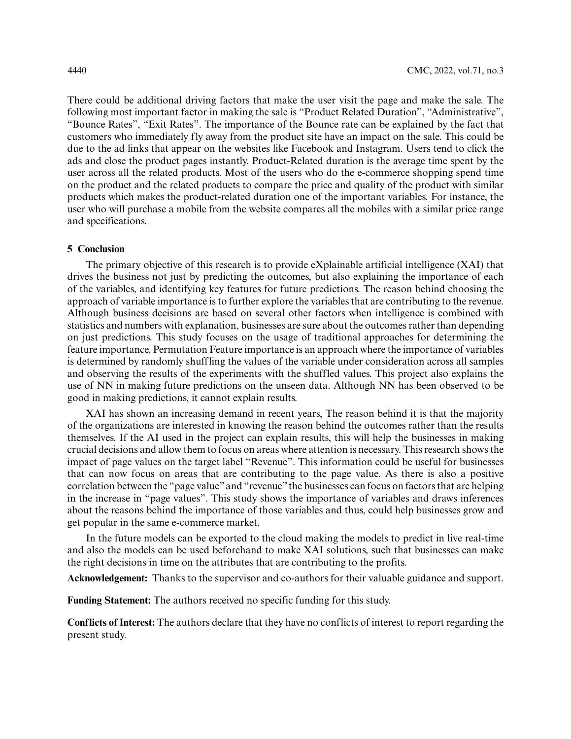There could be additional driving factors that make the user visit the page and make the sale. The following most important factor in making the sale is "Product Related Duration", "Administrative", "Bounce Rates", "Exit Rates". The importance of the Bounce rate can be explained by the fact that customers who immediately fly away from the product site have an impact on the sale. This could be due to the ad links that appear on the websites like Facebook and Instagram. Users tend to click the ads and close the product pages instantly. Product-Related duration is the average time spent by the user across all the related products. Most of the users who do the e-commerce shopping spend time on the product and the related products to compare the price and quality of the product with similar products which makes the product-related duration one of the important variables. For instance, the user who will purchase a mobile from the website compares all the mobiles with a similar price range and specifications.

# **5 Conclusion**

The primary objective of this research is to provide eXplainable artificial intelligence (XAI) that drives the business not just by predicting the outcomes, but also explaining the importance of each of the variables, and identifying key features for future predictions. The reason behind choosing the approach of variable importance is to further explore the variables that are contributing to the revenue. Although business decisions are based on several other factors when intelligence is combined with statistics and numbers with explanation, businesses are sure about the outcomes rather than depending on just predictions. This study focuses on the usage of traditional approaches for determining the feature importance. Permutation Feature importance is an approach where the importance of variables is determined by randomly shuffling the values of the variable under consideration across all samples and observing the results of the experiments with the shuffled values. This project also explains the use of NN in making future predictions on the unseen data. Although NN has been observed to be good in making predictions, it cannot explain results.

XAI has shown an increasing demand in recent years, The reason behind it is that the majority of the organizations are interested in knowing the reason behind the outcomes rather than the results themselves. If the AI used in the project can explain results, this will help the businesses in making crucial decisions and allow them to focus on areas where attention is necessary. This research shows the impact of page values on the target label "Revenue". This information could be useful for businesses that can now focus on areas that are contributing to the page value. As there is also a positive correlation between the "page value" and "revenue" the businesses can focus on factors that are helping in the increase in "page values". This study shows the importance of variables and draws inferences about the reasons behind the importance of those variables and thus, could help businesses grow and get popular in the same e-commerce market.

In the future models can be exported to the cloud making the models to predict in live real-time and also the models can be used beforehand to make XAI solutions, such that businesses can make the right decisions in time on the attributes that are contributing to the profits.

**Acknowledgement:** Thanks to the supervisor and co-authors for their valuable guidance and support.

**Funding Statement:** The authors received no specific funding for this study.

**Conflicts of Interest:** The authors declare that they have no conflicts of interest to report regarding the present study.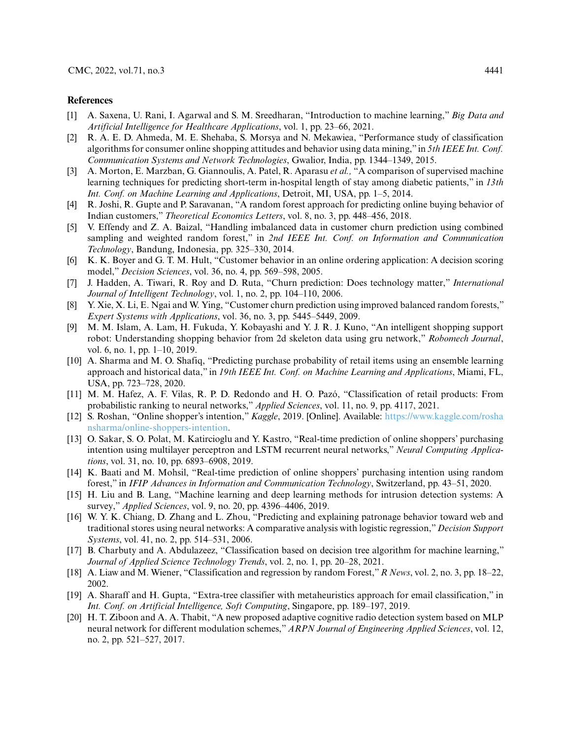#### **References**

- <span id="page-16-0"></span>[1] A. Saxena, U. Rani, I. Agarwal and S. M. Sreedharan, "Introduction to machine learning," *Big Data and Artificial Intelligence for Healthcare Applications*, vol. 1, pp. 23–66, 2021.
- <span id="page-16-1"></span>[2] R. A. E. D. Ahmeda, M. E. Shehaba, S. Morsya and N. Mekawiea, "Performance study of classification algorithms for consumer online shopping attitudes and behavior using data mining," in *5th IEEE Int. Conf. Communication Systems and Network Technologies*, Gwalior, India, pp. 1344–1349, 2015.
- <span id="page-16-2"></span>[3] A. Morton, E. Marzban, G. Giannoulis, A. Patel, R. Aparasu *et al.,* "A comparison of supervised machine learning techniques for predicting short-term in-hospital length of stay among diabetic patients," in *13th Int. Conf. on Machine Learning and Applications*, Detroit, MI, USA, pp. 1–5, 2014.
- <span id="page-16-3"></span>[4] R. Joshi, R. Gupte and P. Saravanan, "A random forest approach for predicting online buying behavior of Indian customers," *Theoretical Economics Letters*, vol. 8, no. 3, pp. 448–456, 2018.
- <span id="page-16-4"></span>[5] V. Effendy and Z. A. Baizal, "Handling imbalanced data in customer churn prediction using combined sampling and weighted random forest," in *2nd IEEE Int. Conf. on Information and Communication Technology*, Bandung, Indonesia, pp. 325–330, 2014.
- <span id="page-16-5"></span>[6] K. K. Boyer and G. T. M. Hult, "Customer behavior in an online ordering application: A decision scoring model," *Decision Sciences*, vol. 36, no. 4, pp. 569–598, 2005.
- <span id="page-16-6"></span>[7] J. Hadden, A. Tiwari, R. Roy and D. Ruta, "Churn prediction: Does technology matter," *International Journal of Intelligent Technology*, vol. 1, no. 2, pp. 104–110, 2006.
- <span id="page-16-7"></span>[8] Y. Xie, X. Li, E. Ngai and W. Ying, "Customer churn prediction using improved balanced random forests," *Expert Systems with Applications*, vol. 36, no. 3, pp. 5445–5449, 2009.
- <span id="page-16-8"></span>[9] M. M. Islam, A. Lam, H. Fukuda, Y. Kobayashi and Y. J. R. J. Kuno, "An intelligent shopping support robot: Understanding shopping behavior from 2d skeleton data using gru network," *Robomech Journal*, vol. 6, no. 1, pp. 1–10, 2019.
- <span id="page-16-9"></span>[10] A. Sharma and M. O. Shafiq, "Predicting purchase probability of retail items using an ensemble learning approach and historical data," in *19th IEEE Int. Conf. on Machine Learning and Applications*, Miami, FL, USA, pp. 723–728, 2020.
- <span id="page-16-10"></span>[11] M. M. Hafez, A. F. Vilas, R. P. D. Redondo and H. O. Pazó, "Classification of retail products: From probabilistic ranking to neural networks," *Applied Sciences*, vol. 11, no. 9, pp. 4117, 2021.
- <span id="page-16-11"></span>[12] S. Roshan, "Online shopper's intention," *Kaggle*, 2019. [Online]. Available: [https://www.kaggle.com/rosha](https://www.kaggle.com/roshansharma/online-shoppers-intention) [nsharma/online-shoppers-intention.](https://www.kaggle.com/roshansharma/online-shoppers-intention)
- <span id="page-16-12"></span>[13] O. Sakar, S. O. Polat, M. Katircioglu and Y. Kastro, "Real-time prediction of online shoppers' purchasing intention using multilayer perceptron and LSTM recurrent neural networks," *Neural Computing Applications*, vol. 31, no. 10, pp. 6893–6908, 2019.
- <span id="page-16-13"></span>[14] K. Baati and M. Mohsil, "Real-time prediction of online shoppers' purchasing intention using random forest," in *IFIP Advances in Information and Communication Technology*, Switzerland, pp. 43–51, 2020.
- <span id="page-16-14"></span>[15] H. Liu and B. Lang, "Machine learning and deep learning methods for intrusion detection systems: A survey," *Applied Sciences*, vol. 9, no. 20, pp. 4396–4406, 2019.
- <span id="page-16-15"></span>[16] W. Y. K. Chiang, D. Zhang and L. Zhou, "Predicting and explaining patronage behavior toward web and traditional stores using neural networks: A comparative analysis with logistic regression,"*Decision Support Systems*, vol. 41, no. 2, pp. 514–531, 2006.
- <span id="page-16-16"></span>[17] B. Charbuty and A. Abdulazeez, "Classification based on decision tree algorithm for machine learning," *Journal of Applied Science Technology Trends*, vol. 2, no. 1, pp. 20–28, 2021.
- <span id="page-16-17"></span>[18] A. Liaw and M. Wiener, "Classification and regression by random Forest," *R News*, vol. 2, no. 3, pp. 18–22, 2002.
- <span id="page-16-18"></span>[19] A. Sharaff and H. Gupta, "Extra-tree classifier with metaheuristics approach for email classification," in *Int. Conf. on Artificial Intelligence, Soft Computing*, Singapore, pp. 189–197, 2019.
- <span id="page-16-19"></span>[20] H. T. Ziboon and A. A. Thabit, "A new proposed adaptive cognitive radio detection system based on MLP neural network for different modulation schemes," *ARPN Journal of Engineering Applied Sciences*, vol. 12, no. 2, pp. 521–527, 2017.